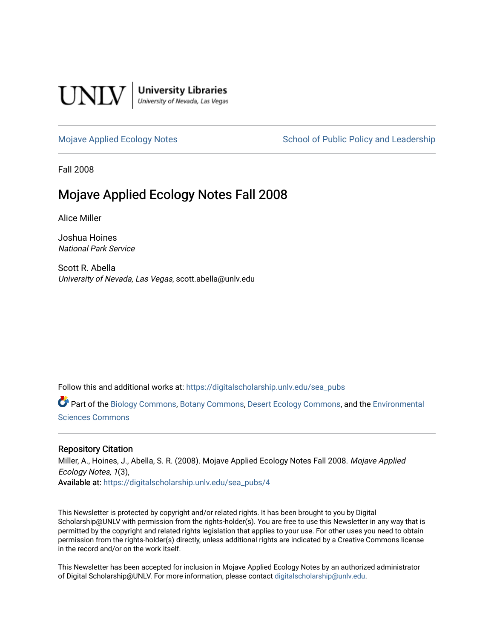

**University Libraries**<br>University of Nevada, Las Vegas

[Mojave Applied Ecology Notes](https://digitalscholarship.unlv.edu/sea_pubs) School of Public Policy and Leadership

Fall 2008

# Mojave Applied Ecology Notes Fall 2008

Alice Miller

Joshua Hoines National Park Service

Scott R. Abella University of Nevada, Las Vegas, scott.abella@unlv.edu

Follow this and additional works at: [https://digitalscholarship.unlv.edu/sea\\_pubs](https://digitalscholarship.unlv.edu/sea_pubs?utm_source=digitalscholarship.unlv.edu%2Fsea_pubs%2F4&utm_medium=PDF&utm_campaign=PDFCoverPages) 

Part of the [Biology Commons,](http://network.bepress.com/hgg/discipline/41?utm_source=digitalscholarship.unlv.edu%2Fsea_pubs%2F4&utm_medium=PDF&utm_campaign=PDFCoverPages) [Botany Commons,](http://network.bepress.com/hgg/discipline/104?utm_source=digitalscholarship.unlv.edu%2Fsea_pubs%2F4&utm_medium=PDF&utm_campaign=PDFCoverPages) [Desert Ecology Commons](http://network.bepress.com/hgg/discipline/1261?utm_source=digitalscholarship.unlv.edu%2Fsea_pubs%2F4&utm_medium=PDF&utm_campaign=PDFCoverPages), and the [Environmental](http://network.bepress.com/hgg/discipline/167?utm_source=digitalscholarship.unlv.edu%2Fsea_pubs%2F4&utm_medium=PDF&utm_campaign=PDFCoverPages)  [Sciences Commons](http://network.bepress.com/hgg/discipline/167?utm_source=digitalscholarship.unlv.edu%2Fsea_pubs%2F4&utm_medium=PDF&utm_campaign=PDFCoverPages) 

#### Repository Citation

Miller, A., Hoines, J., Abella, S. R. (2008). Mojave Applied Ecology Notes Fall 2008. Mojave Applied Ecology Notes, 1(3), Available at: [https://digitalscholarship.unlv.edu/sea\\_pubs/4](https://digitalscholarship.unlv.edu/sea_pubs/4) 

This Newsletter is protected by copyright and/or related rights. It has been brought to you by Digital Scholarship@UNLV with permission from the rights-holder(s). You are free to use this Newsletter in any way that is permitted by the copyright and related rights legislation that applies to your use. For other uses you need to obtain permission from the rights-holder(s) directly, unless additional rights are indicated by a Creative Commons license in the record and/or on the work itself.

This Newsletter has been accepted for inclusion in Mojave Applied Ecology Notes by an authorized administrator of Digital Scholarship@UNLV. For more information, please contact [digitalscholarship@unlv.edu.](mailto:digitalscholarship@unlv.edu)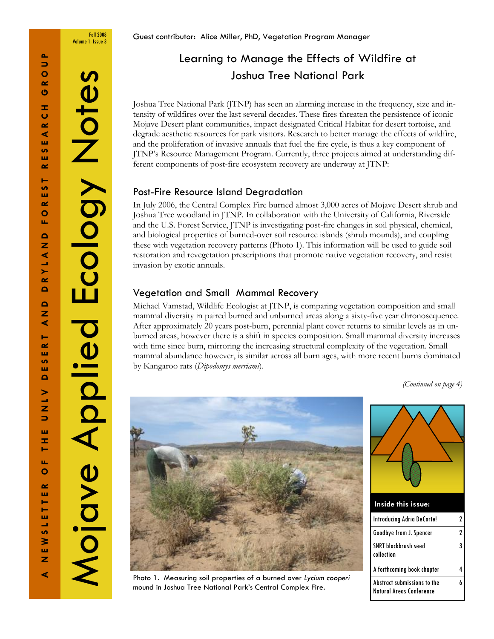⋖

Δ.

Mojave Applied Ecology Notes

Mojave Aplied

Ecology Notes

Fall 2008 Volume 1, Issue 3

Guest contributor: Alice Miller, PhD, Vegetation Program Manager

# Learning to Manage the Effects of Wildfire at Joshua Tree National Park

Joshua Tree National Park (JTNP) has seen an alarming increase in the frequency, size and intensity of wildfires over the last several decades. These fires threaten the persistence of iconic Mojave Desert plant communities, impact designated Critical Habitat for desert tortoise, and degrade aesthetic resources for park visitors. Research to better manage the effects of wildfire, and the proliferation of invasive annuals that fuel the fire cycle, is thus a key component of JTNP's Resource Management Program. Currently, three projects aimed at understanding different components of post-fire ecosystem recovery are underway at JTNP:

### Post-Fire Resource Island Degradation

In July 2006, the Central Complex Fire burned almost 3,000 acres of Mojave Desert shrub and Joshua Tree woodland in JTNP. In collaboration with the University of California, Riverside and the U.S. Forest Service, JTNP is investigating post-fire changes in soil physical, chemical, and biological properties of burned-over soil resource islands (shrub mounds), and coupling these with vegetation recovery patterns (Photo 1). This information will be used to guide soil restoration and revegetation prescriptions that promote native vegetation recovery, and resist invasion by exotic annuals.

### Vegetation and Small Mammal Recovery

Michael Vamstad, Wildlife Ecologist at JTNP, is comparing vegetation composition and small mammal diversity in paired burned and unburned areas along a sixty-five year chronosequence. After approximately 20 years post-burn, perennial plant cover returns to similar levels as in unburned areas, however there is a shift in species composition. Small mammal diversity increases with time since burn, mirroring the increasing structural complexity of the vegetation. Small mammal abundance however, is similar across all burn ages, with more recent burns dominated by Kangaroo rats (Dipodomys merriami).

(Continued on page 4)



Inside this issue: Introducing Adria DeCorte! 2 Goodbye from J. Spencer 2 SNRT blackbrush seed collection 3

A forthcoming book chapter 4

6

Abstract submissions to the Natural Areas Conference

Photo 1. Measuring soil properties of a burned over Lycium cooperi mound in Joshua Tree National Park's Central Complex Fire.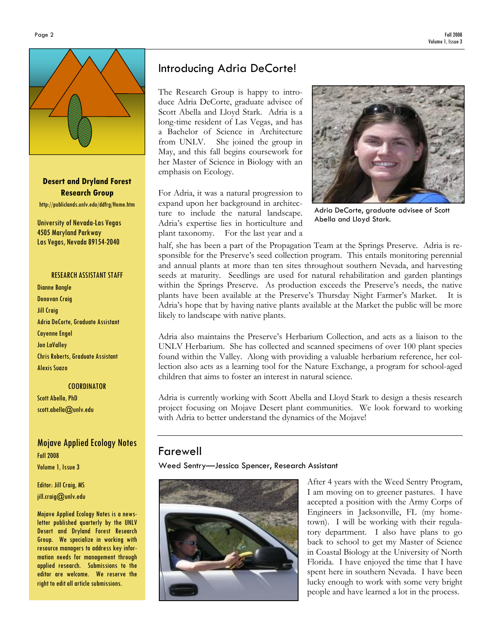

Desert and Dryland Forest Research Group http://publiclands.unlv.edu/ddfrg/Home.htm

University of Nevada-Las Vegas 4505 Maryland Parkway Las Vegas, Nevada 89154-2040

#### RESEARCH ASSISTANT STAFF

Dianne Bangle Donovan Craig Jill Craig Adria DeCorte, Graduate Assistant Cayenne Engel Jon LaValley Chris Roberts, Graduate Assistant Alexis Suazo

**COORDINATOR** Scott Abella, PhD scott.abella@unlv.edu

Mojave Applied Ecology Notes Fall 2008 Volume 1, Issue 3

Editor: Jill Craig, MS jill.craig@unlv.edu

Mojave Applied Ecology Notes is a newsletter published quarterly by the UNLV Desert and Dryland Forest Research Group. We specialize in working with resource managers to address key information needs for management through applied research. Submissions to the editor are welcome. We reserve the right to edit all article submissions.

## Introducing Adria DeCorte!

The Research Group is happy to introduce Adria DeCorte, graduate advisee of Scott Abella and Lloyd Stark. Adria is a long-time resident of Las Vegas, and has a Bachelor of Science in Architecture from UNLV. She joined the group in May, and this fall begins coursework for her Master of Science in Biology with an emphasis on Ecology.

For Adria, it was a natural progression to expand upon her background in architecture to include the natural landscape. Adria's expertise lies in horticulture and plant taxonomy. For the last year and a



Adria DeCorte, graduate advisee of Scott Abella and Lloyd Stark.

half, she has been a part of the Propagation Team at the Springs Preserve. Adria is responsible for the Preserve's seed collection program. This entails monitoring perennial and annual plants at more than ten sites throughout southern Nevada, and harvesting seeds at maturity. Seedlings are used for natural rehabilitation and garden plantings within the Springs Preserve. As production exceeds the Preserve's needs, the native plants have been available at the Preserve's Thursday Night Farmer's Market. It is Adria's hope that by having native plants available at the Market the public will be more likely to landscape with native plants.

Adria also maintains the Preserve's Herbarium Collection, and acts as a liaison to the UNLV Herbarium. She has collected and scanned specimens of over 100 plant species found within the Valley. Along with providing a valuable herbarium reference, her collection also acts as a learning tool for the Nature Exchange, a program for school-aged children that aims to foster an interest in natural science.

Adria is currently working with Scott Abella and Lloyd Stark to design a thesis research project focusing on Mojave Desert plant communities. We look forward to working with Adria to better understand the dynamics of the Mojave!

### Farewell

Weed Sentry—Jessica Spencer, Research Assistant



After 4 years with the Weed Sentry Program, I am moving on to greener pastures. I have accepted a position with the Army Corps of Engineers in Jacksonville, FL (my hometown). I will be working with their regulatory department. I also have plans to go back to school to get my Master of Science in Coastal Biology at the University of North Florida. I have enjoyed the time that I have spent here in southern Nevada. I have been lucky enough to work with some very bright people and have learned a lot in the process.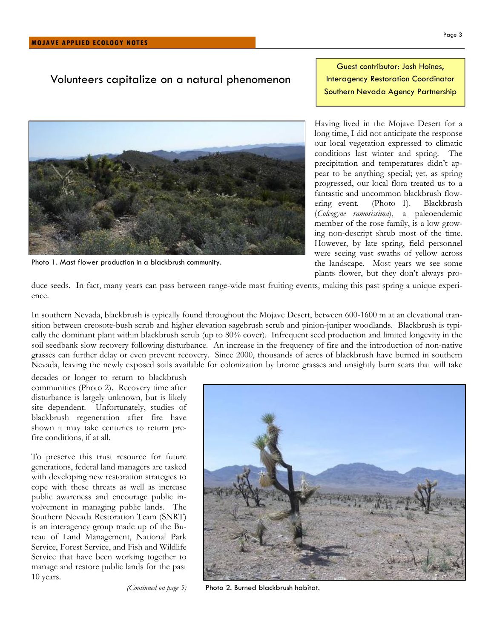### Volunteers capitalize on a natural phenomenon





Photo 1. Mast flower production in a blackbrush community.

Having lived in the Mojave Desert for a long time, I did not anticipate the response our local vegetation expressed to climatic conditions last winter and spring. The precipitation and temperatures didn't appear to be anything special; yet, as spring progressed, our local flora treated us to a fantastic and uncommon blackbrush flow-<br>ering event. (Photo 1). Blackbrush ering event. (Photo 1). (Coleogyne ramosissima), a paleoendemic member of the rose family, is a low growing non-descript shrub most of the time. However, by late spring, field personnel were seeing vast swaths of yellow across the landscape. Most years we see some plants flower, but they don't always pro-

duce seeds. In fact, many years can pass between range-wide mast fruiting events, making this past spring a unique experience.

In southern Nevada, blackbrush is typically found throughout the Mojave Desert, between 600-1600 m at an elevational transition between creosote-bush scrub and higher elevation sagebrush scrub and pinion-juniper woodlands. Blackbrush is typically the dominant plant within blackbrush scrub (up to 80% cover). Infrequent seed production and limited longevity in the soil seedbank slow recovery following disturbance. An increase in the frequency of fire and the introduction of non-native grasses can further delay or even prevent recovery. Since 2000, thousands of acres of blackbrush have burned in southern Nevada, leaving the newly exposed soils available for colonization by brome grasses and unsightly burn scars that will take

decades or longer to return to blackbrush communities (Photo 2). Recovery time after disturbance is largely unknown, but is likely site dependent. Unfortunately, studies of blackbrush regeneration after fire have shown it may take centuries to return prefire conditions, if at all.

To preserve this trust resource for future generations, federal land managers are tasked with developing new restoration strategies to cope with these threats as well as increase public awareness and encourage public involvement in managing public lands. The Southern Nevada Restoration Team (SNRT) is an interagency group made up of the Bureau of Land Management, National Park Service, Forest Service, and Fish and Wildlife Service that have been working together to manage and restore public lands for the past 10 years.

(Continued on page 5)



Photo 2. Burned blackbrush habitat.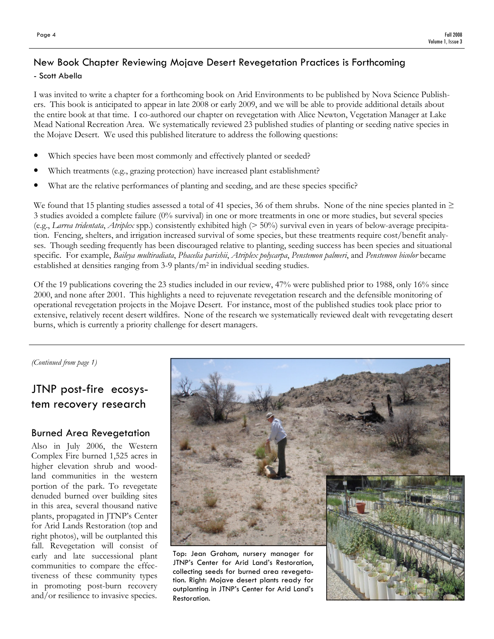### New Book Chapter Reviewing Mojave Desert Revegetation Practices is Forthcoming

#### - Scott Abella

I was invited to write a chapter for a forthcoming book on Arid Environments to be published by Nova Science Publishers. This book is anticipated to appear in late 2008 or early 2009, and we will be able to provide additional details about the entire book at that time. I co-authored our chapter on revegetation with Alice Newton, Vegetation Manager at Lake Mead National Recreation Area. We systematically reviewed 23 published studies of planting or seeding native species in the Mojave Desert. We used this published literature to address the following questions:

- Which species have been most commonly and effectively planted or seeded?
- Which treatments (e.g., grazing protection) have increased plant establishment?
- What are the relative performances of planting and seeding, and are these species specific?

We found that 15 planting studies assessed a total of 41 species, 36 of them shrubs. None of the nine species planted in  $\geq$ 3 studies avoided a complete failure (0% survival) in one or more treatments in one or more studies, but several species (e.g., Larrea tridentata, Atriplex spp.) consistently exhibited high (> 50%) survival even in years of below-average precipitation. Fencing, shelters, and irrigation increased survival of some species, but these treatments require cost/benefit analyses. Though seeding frequently has been discouraged relative to planting, seeding success has been species and situational specific. For example, Baileya multiradiata, Phacelia parishii, Atriplex polycarpa, Penstemon palmeri, and Penstemon bicolor became established at densities ranging from 3-9 plants/m2 in individual seeding studies.

Of the 19 publications covering the 23 studies included in our review, 47% were published prior to 1988, only 16% since 2000, and none after 2001. This highlights a need to rejuvenate revegetation research and the defensible monitoring of operational revegetation projects in the Mojave Desert. For instance, most of the published studies took place prior to extensive, relatively recent desert wildfires. None of the research we systematically reviewed dealt with revegetating desert burns, which is currently a priority challenge for desert managers.

(Continued from page 1)

# JTNP post-fire ecosystem recovery research

### Burned Area Revegetation

Also in July 2006, the Western Complex Fire burned 1,525 acres in higher elevation shrub and woodland communities in the western portion of the park. To revegetate denuded burned over building sites in this area, several thousand native plants, propagated in JTNP's Center for Arid Lands Restoration (top and right photos), will be outplanted this fall. Revegetation will consist of early and late successional plant communities to compare the effectiveness of these community types in promoting post-burn recovery and/or resilience to invasive species.



JTNP's Center for Arid Land's Restoration, collecting seeds for burned area revegetation. Right: Mojave desert plants ready for outplanting in JTNP's Center for Arid Land's Restoration.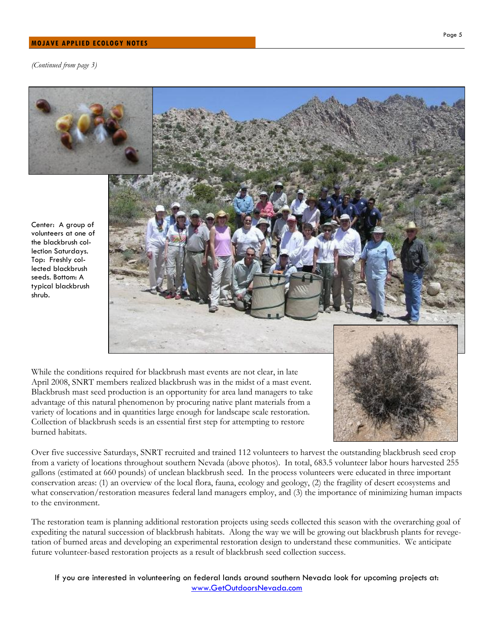#### MOJAVE APPLIED ECOLOGY NOTES

(Continued from page 3)



Over five successive Saturdays, SNRT recruited and trained 112 volunteers to harvest the outstanding blackbrush seed crop from a variety of locations throughout southern Nevada (above photos). In total, 683.5 volunteer labor hours harvested 255 gallons (estimated at 660 pounds) of unclean blackbrush seed. In the process volunteers were educated in three important conservation areas: (1) an overview of the local flora, fauna, ecology and geology, (2) the fragility of desert ecosystems and what conservation/restoration measures federal land managers employ, and (3) the importance of minimizing human impacts to the environment.

The restoration team is planning additional restoration projects using seeds collected this season with the overarching goal of expediting the natural succession of blackbrush habitats. Along the way we will be growing out blackbrush plants for revegetation of burned areas and developing an experimental restoration design to understand these communities. We anticipate future volunteer-based restoration projects as a result of blackbrush seed collection success.

If you are interested in volunteering on federal lands around southern Nevada look for upcoming projects at: www.GetOutdoorsNevada.com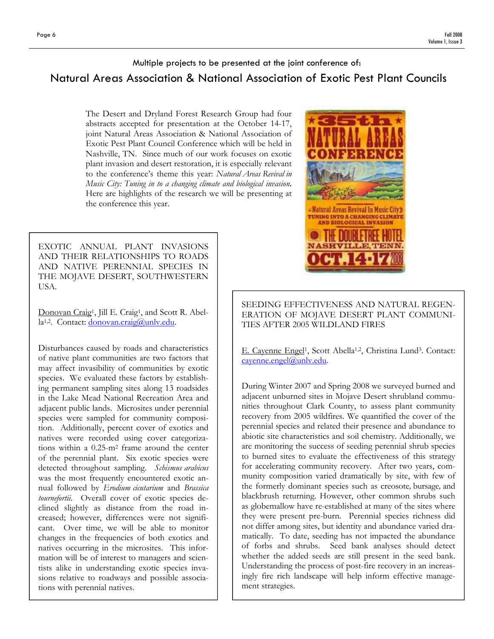## Multiple projects to be presented at the joint conference of: Natural Areas Association & National Association of Exotic Pest Plant Councils

The Desert and Dryland Forest Research Group had four abstracts accepted for presentation at the October 14-17, joint Natural Areas Association & National Association of Exotic Pest Plant Council Conference which will be held in Nashville, TN. Since much of our work focuses on exotic plant invasion and desert restoration, it is especially relevant to the conference's theme this year: Natural Areas Revival in Music City: Tuning in to a changing climate and biological invasion. Here are highlights of the research we will be presenting at the conference this year.

EXOTIC ANNUAL PLANT INVASIONS AND THEIR RELATIONSHIPS TO ROADS AND NATIVE PERENNIAL SPECIES IN THE MOJAVE DESERT, SOUTHWESTERN USA.

Donovan Craig<sup>1</sup>, Jill E. Craig<sup>1</sup>, and Scott R. Abella1,2. Contact: donovan.craig@unlv.edu.

Disturbances caused by roads and characteristics of native plant communities are two factors that may affect invasibility of communities by exotic species. We evaluated these factors by establishing permanent sampling sites along 13 roadsides in the Lake Mead National Recreation Area and adjacent public lands. Microsites under perennial species were sampled for community composition. Additionally, percent cover of exotics and natives were recorded using cover categorizations within a 0.25-m2 frame around the center of the perennial plant. Six exotic species were detected throughout sampling. Schismus arabicus was the most frequently encountered exotic annual followed by Erodium cicutarium and Brassica tournefortii. Overall cover of exotic species declined slightly as distance from the road increased; however, differences were not significant. Over time, we will be able to monitor changes in the frequencies of both exotics and natives occurring in the microsites. This information will be of interest to managers and scientists alike in understanding exotic species invasions relative to roadways and possible associations with perennial natives.



SEEDING EFFECTIVENESS AND NATURAL REGEN-ERATION OF MOJAVE DESERT PLANT COMMUNI-TIES AFTER 2005 WILDLAND FIRES

E. Cayenne Engel<sup>1</sup>, Scott Abella<sup>1,2</sup>, Christina Lund<sup>3</sup>. Contact: cayenne.engel@unlv.edu.

During Winter 2007 and Spring 2008 we surveyed burned and adjacent unburned sites in Mojave Desert shrubland communities throughout Clark County, to assess plant community recovery from 2005 wildfires. We quantified the cover of the perennial species and related their presence and abundance to abiotic site characteristics and soil chemistry. Additionally, we are monitoring the success of seeding perennial shrub species to burned sites to evaluate the effectiveness of this strategy for accelerating community recovery. After two years, community composition varied dramatically by site, with few of the formerly dominant species such as creosote, bursage, and blackbrush returning. However, other common shrubs such as globemallow have re-established at many of the sites where they were present pre-burn. Perennial species richness did not differ among sites, but identity and abundance varied dramatically. To date, seeding has not impacted the abundance of forbs and shrubs. Seed bank analyses should detect whether the added seeds are still present in the seed bank. Understanding the process of post-fire recovery in an increasingly fire rich landscape will help inform effective management strategies.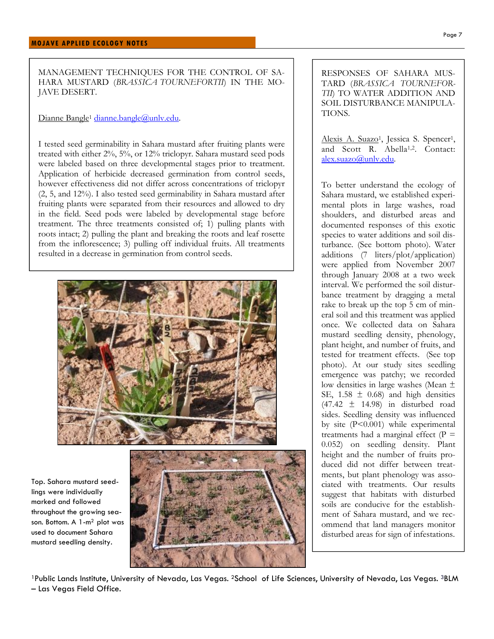MANAGEMENT TECHNIQUES FOR THE CONTROL OF SA-HARA MUSTARD (BRASSICA TOURNEFORTII) IN THE MO-JAVE DESERT.

#### Dianne Bangle<sup>1</sup> dianne.bangle@unly.edu.

I tested seed germinability in Sahara mustard after fruiting plants were treated with either 2%, 5%, or 12% triclopyr. Sahara mustard seed pods were labeled based on three developmental stages prior to treatment. Application of herbicide decreased germination from control seeds, however effectiveness did not differ across concentrations of triclopyr (2, 5, and 12%). I also tested seed germinability in Sahara mustard after fruiting plants were separated from their resources and allowed to dry in the field. Seed pods were labeled by developmental stage before treatment. The three treatments consisted of; 1) pulling plants with roots intact; 2) pulling the plant and breaking the roots and leaf rosette from the inflorescence; 3) pulling off individual fruits. All treatments resulted in a decrease in germination from control seeds.



Top. Sahara mustard seedlings were individually marked and followed throughout the growing season. Bottom. A 1-m2 plot was used to document Sahara mustard seedling density.



RESPONSES OF SAHARA MUS-TARD (BRASSICA TOURNEFOR-TII) TO WATER ADDITION AND SOIL DISTURBANCE MANIPULA-TIONS.

Alexis A. Suazo<sup>1</sup>, Jessica S. Spencer<sup>1</sup>, and Scott R. Abella1,2. Contact: alex.suazo@unlv.edu.

To better understand the ecology of Sahara mustard, we established experimental plots in large washes, road shoulders, and disturbed areas and documented responses of this exotic species to water additions and soil disturbance. (See bottom photo). Water additions (7 liters/plot/application) were applied from November 2007 through January 2008 at a two week interval. We performed the soil disturbance treatment by dragging a metal rake to break up the top 5 cm of mineral soil and this treatment was applied once. We collected data on Sahara mustard seedling density, phenology, plant height, and number of fruits, and tested for treatment effects. (See top photo). At our study sites seedling emergence was patchy; we recorded low densities in large washes (Mean ± SE,  $1.58 \pm 0.68$ ) and high densities  $(47.42 \pm 14.98)$  in disturbed road sides. Seedling density was influenced by site (P<0.001) while experimental treatments had a marginal effect  $(P =$ 0.052) on seedling density. Plant height and the number of fruits produced did not differ between treatments, but plant phenology was associated with treatments. Our results suggest that habitats with disturbed soils are conducive for the establishment of Sahara mustard, and we recommend that land managers monitor disturbed areas for sign of infestations.

<sup>1</sup>Public Lands Institute, University of Nevada, Las Vegas. <sup>2</sup>School of Life Sciences, University of Nevada, Las Vegas. <sup>3</sup>BLM – Las Vegas Field Office.